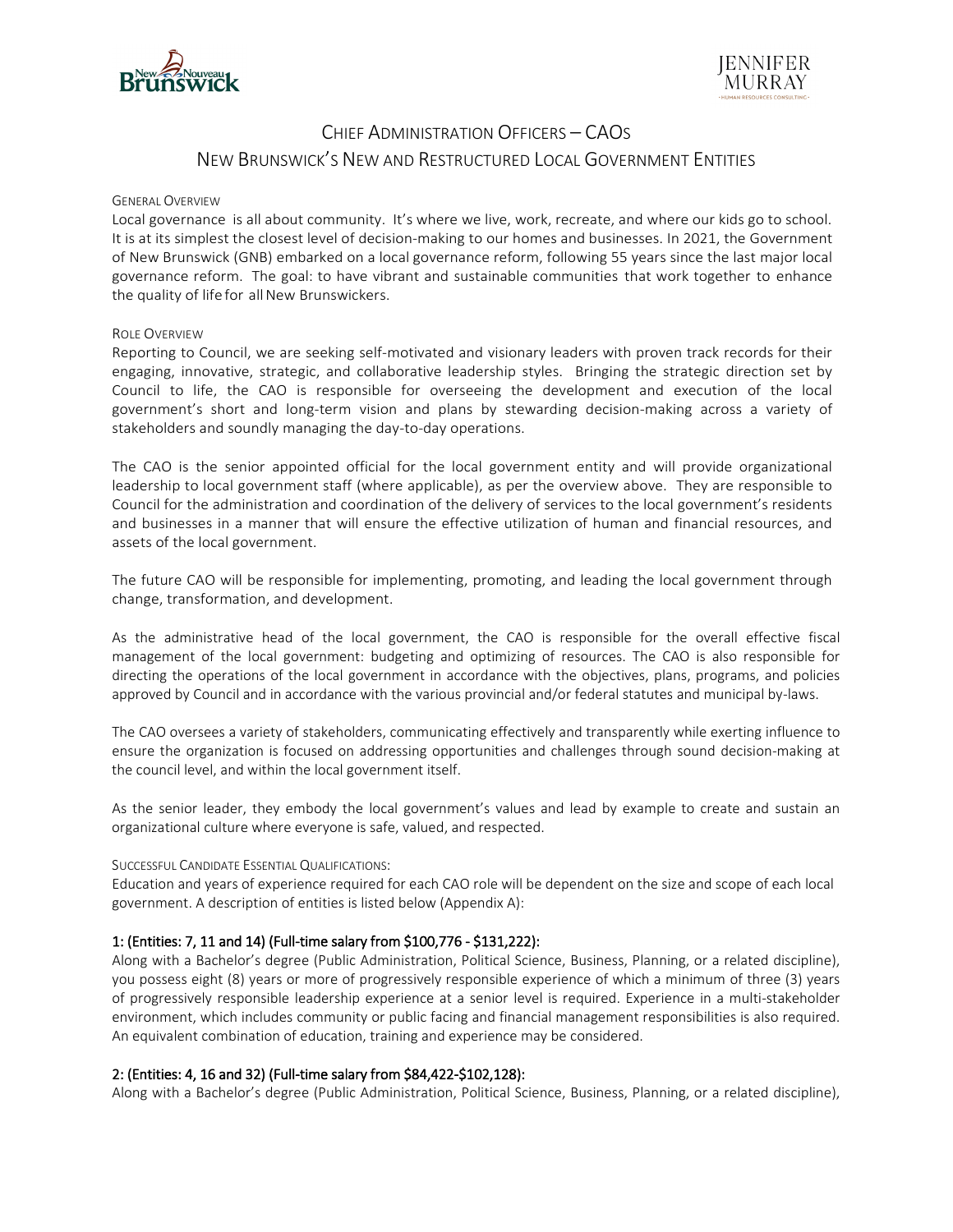



# CHIEF ADMINISTRATION OFFICERS – CAOS NEW BRUNSWICK'S NEW AND RESTRUCTURED LOCAL GOVERNMENT ENTITIES

#### GENERAL OVERVIEW

Local governance is all about community. It's where we live, work, recreate, and where our kids go to school. It is at its simplest the closest level of decision-making to our homes and businesses. In 2021, the Government of New Brunswick (GNB) embarked on a local governance reform, following 55 years since the last major local governance reform. The goal: to have vibrant and sustainable communities that work together to enhance the quality of life for all New Brunswickers.

#### ROLE OVERVIEW

Reporting to Council, we are seeking self-motivated and visionary leaders with proven track records for their engaging, innovative, strategic, and collaborative leadership styles. Bringing the strategic direction set by Council to life, the CAO is responsible for overseeing the development and execution of the local government's short and long-term vision and plans by stewarding decision-making across a variety of stakeholders and soundly managing the day-to-day operations.

The CAO is the senior appointed official for the local government entity and will provide organizational leadership to local government staff (where applicable), as per the overview above. They are responsible to Council for the administration and coordination of the delivery of services to the local government's residents and businesses in a manner that will ensure the effective utilization of human and financial resources, and assets of the local government.

The future CAO will be responsible for implementing, promoting, and leading the local government through change, transformation, and development.

As the administrative head of the local government, the CAO is responsible for the overall effective fiscal management of the local government: budgeting and optimizing of resources. The CAO is also responsible for directing the operations of the local government in accordance with the objectives, plans, programs, and policies approved by Council and in accordance with the various provincial and/or federal statutes and municipal by-laws.

The CAO oversees a variety of stakeholders, communicating effectively and transparently while exerting influence to ensure the organization is focused on addressing opportunities and challenges through sound decision-making at the council level, and within the local government itself.

As the senior leader, they embody the local government's values and lead by example to create and sustain an organizational culture where everyone is safe, valued, and respected.

#### SUCCESSFUL CANDIDATE ESSENTIAL QUALIFICATIONS:

Education and years of experience required for each CAO role will be dependent on the size and scope of each local government. A description of entities is listed below (Appendix A):

### 1: (Entities: 7, 11 and 14) (Full-time salary from \$100,776 - \$131,222):

Along with a Bachelor's degree (Public Administration, Political Science, Business, Planning, or a related discipline), you possess eight (8) years or more of progressively responsible experience of which a minimum of three (3) years of progressively responsible leadership experience at a senior level is required. Experience in a multi-stakeholder environment, which includes community or public facing and financial management responsibilities is also required. An equivalent combination of education, training and experience may be considered.

#### 2: (Entities: 4, 16 and 32) (Full-time salary from \$84,422-\$102,128):

Along with a Bachelor's degree (Public Administration, Political Science, Business, Planning, or a related discipline),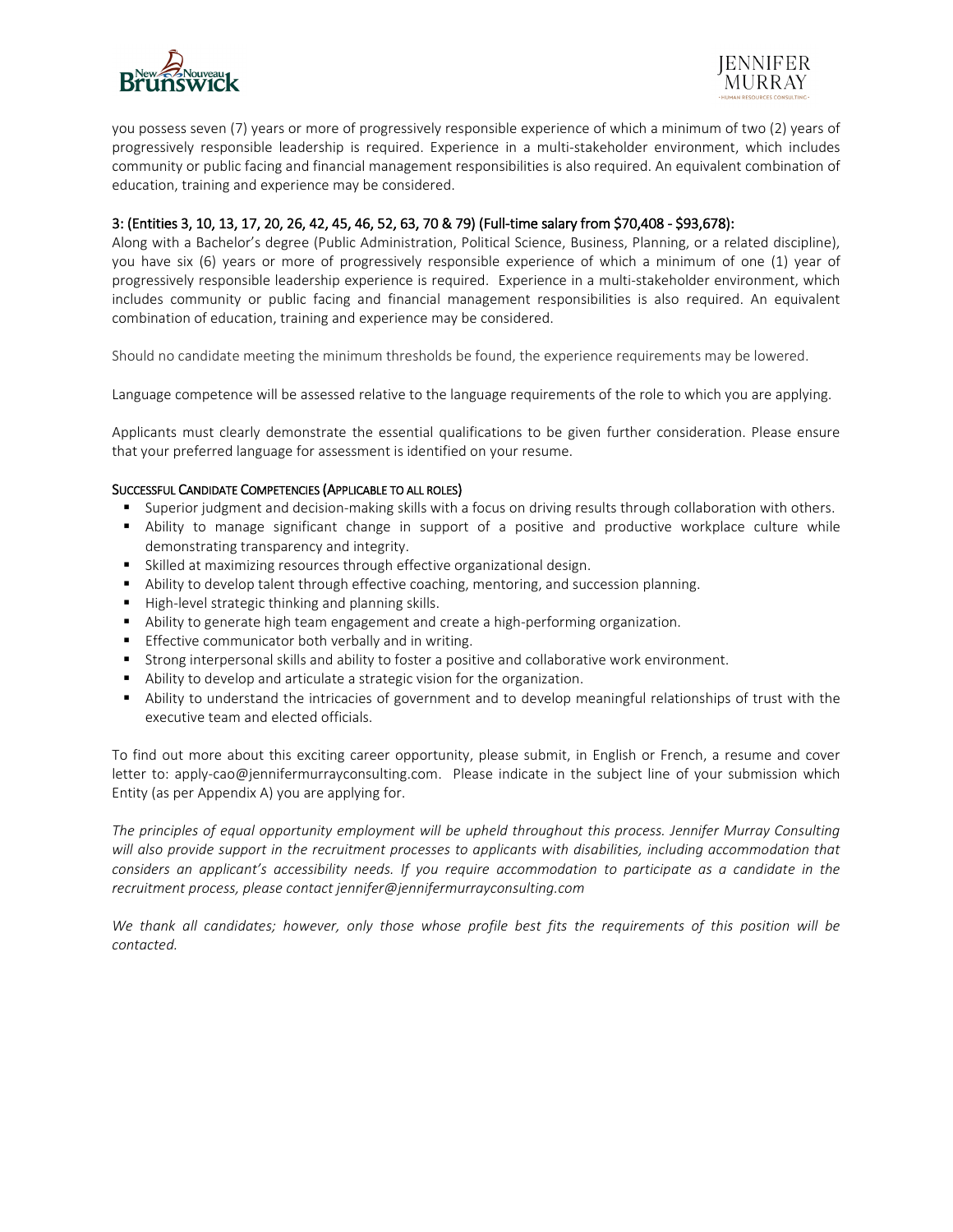



you possess seven (7) years or more of progressively responsible experience of which a minimum of two (2) years of progressively responsible leadership is required. Experience in a multi-stakeholder environment, which includes community or public facing and financial management responsibilities is also required. An equivalent combination of education, training and experience may be considered.

### 3: (Entities 3, 10, 13, 17, 20, 26, 42, 45, 46, 52, 63, 70 & 79) (Full-time salary from \$70,408 - \$93,678):

Along with a Bachelor's degree (Public Administration, Political Science, Business, Planning, or a related discipline), you have six (6) years or more of progressively responsible experience of which a minimum of one (1) year of progressively responsible leadership experience is required. Experience in a multi-stakeholder environment, which includes community or public facing and financial management responsibilities is also required. An equivalent combination of education, training and experience may be considered.

Should no candidate meeting the minimum thresholds be found, the experience requirements may be lowered.

Language competence will be assessed relative to the language requirements of the role to which you are applying.

Applicants must clearly demonstrate the essential qualifications to be given further consideration. Please ensure that your preferred language for assessment is identified on your resume.

#### SUCCESSFUL CANDIDATE COMPETENCIES (APPLICABLE TO ALL ROLES)

- **Superior judgment and decision-making skills with a focus on driving results through collaboration with others.**
- Ability to manage significant change in support of a positive and productive workplace culture while demonstrating transparency and integrity.
- Skilled at maximizing resources through effective organizational design.
- **Ability to develop talent through effective coaching, mentoring, and succession planning.**
- High-level strategic thinking and planning skills.
- Ability to generate high team engagement and create a high-performing organization.
- Effective communicator both verbally and in writing.
- Strong interpersonal skills and ability to foster a positive and collaborative work environment.
- Ability to develop and articulate a strategic vision for the organization.
- Ability to understand the intricacies of government and to develop meaningful relationships of trust with the executive team and elected officials.

To find out more about this exciting career opportunity, please submit, in English or French, a resume and cover letter to: [apply-cao@jennifermurrayconsulting.com.](mailto:apply-cao@jennifermurrayconsulting.com) Please indicate in the subject line of your submission which Entity (as per Appendix A) you are applying for.

*The principles of equal opportunity employment will be upheld throughout this process. Jennifer Murray Consulting will also provide support in the recruitment processes to applicants with disabilities, including accommodation that considers an applicant's accessibility needs. If you require accommodation to participate as a candidate in the recruitment process, please contact jennifer@jennifermurrayconsulting.com*

We thank all candidates; however, only those whose profile best fits the requirements of this position will be *contacted.*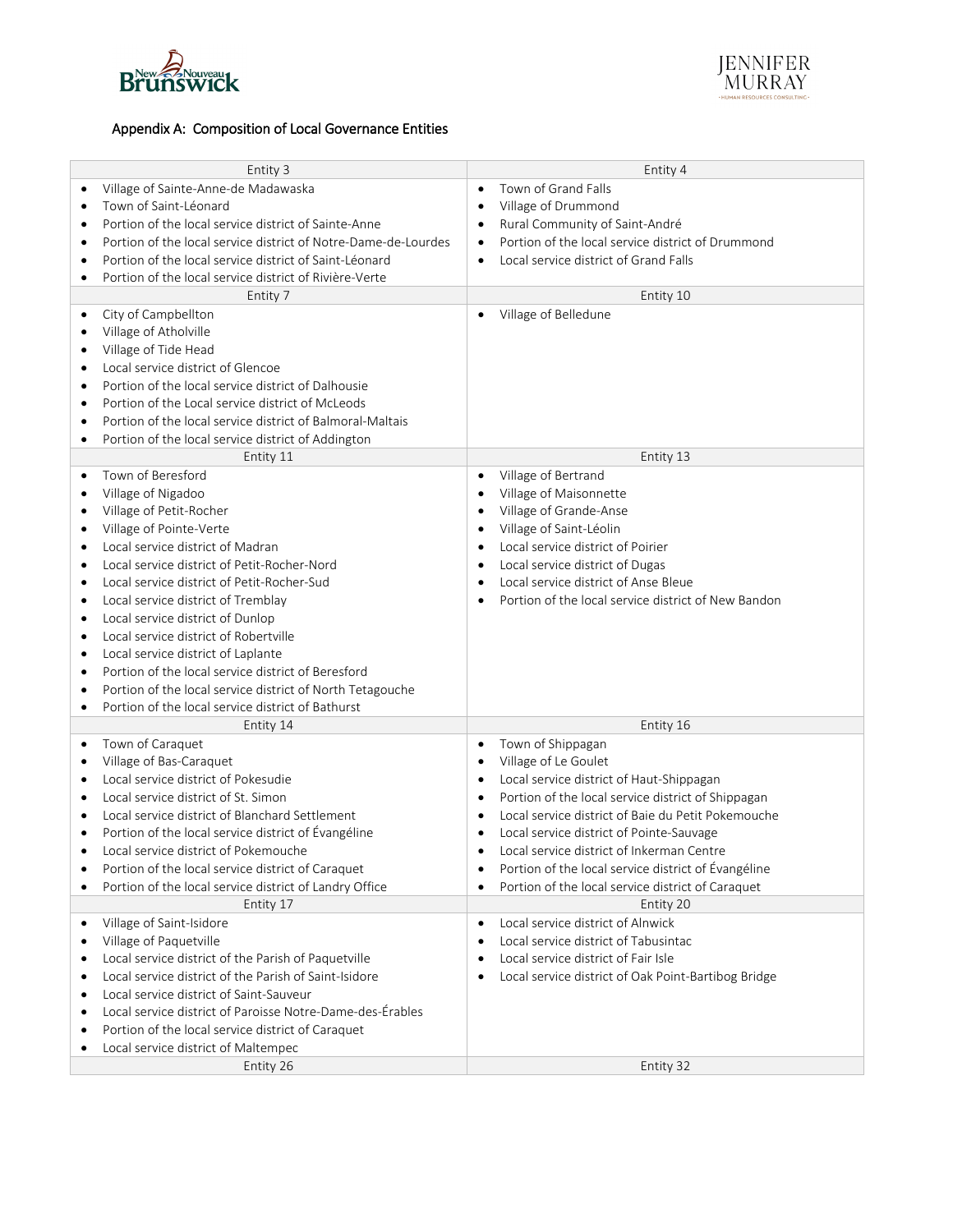



## Appendix A: Composition of Local Governance Entities

| Entity 3                                                                    | Entity 4                                                        |
|-----------------------------------------------------------------------------|-----------------------------------------------------------------|
| Village of Sainte-Anne-de Madawaska<br>$\bullet$                            | Town of Grand Falls                                             |
| Town of Saint-Léonard<br>$\bullet$                                          | Village of Drummond                                             |
| Portion of the local service district of Sainte-Anne<br>$\bullet$           | Rural Community of Saint-André<br>$\bullet$                     |
| Portion of the local service district of Notre-Dame-de-Lourdes<br>$\bullet$ | Portion of the local service district of Drummond<br>$\bullet$  |
| Portion of the local service district of Saint-Léonard<br>$\bullet$         | Local service district of Grand Falls<br>$\bullet$              |
| Portion of the local service district of Rivière-Verte<br>$\bullet$         |                                                                 |
| Entity 7                                                                    | Entity 10                                                       |
| City of Campbellton<br>$\bullet$                                            | Village of Belledune<br>$\bullet$                               |
| Village of Atholville<br>$\bullet$                                          |                                                                 |
| Village of Tide Head<br>$\bullet$                                           |                                                                 |
| Local service district of Glencoe<br>$\bullet$                              |                                                                 |
| Portion of the local service district of Dalhousie<br>$\bullet$             |                                                                 |
| Portion of the Local service district of McLeods<br>$\bullet$               |                                                                 |
| Portion of the local service district of Balmoral-Maltais<br>$\bullet$      |                                                                 |
| Portion of the local service district of Addington<br>$\bullet$             |                                                                 |
| Entity 11                                                                   | Entity 13                                                       |
| Town of Beresford<br>$\bullet$                                              | Village of Bertrand<br>$\bullet$                                |
| Village of Nigadoo<br>$\bullet$                                             | Village of Maisonnette<br>$\bullet$                             |
| Village of Petit-Rocher<br>$\bullet$                                        | Village of Grande-Anse<br>$\bullet$                             |
| Village of Pointe-Verte<br>$\bullet$                                        | Village of Saint-Léolin<br>$\bullet$                            |
| Local service district of Madran<br>$\bullet$                               | Local service district of Poirier<br>$\bullet$                  |
| Local service district of Petit-Rocher-Nord<br>$\bullet$                    | Local service district of Dugas<br>$\bullet$                    |
| Local service district of Petit-Rocher-Sud<br>$\bullet$                     | Local service district of Anse Bleue<br>$\bullet$               |
| Local service district of Tremblay<br>$\bullet$                             | Portion of the local service district of New Bandon             |
| Local service district of Dunlop<br>$\bullet$                               |                                                                 |
| Local service district of Robertville<br>$\bullet$                          |                                                                 |
| Local service district of Laplante<br>$\bullet$                             |                                                                 |
| Portion of the local service district of Beresford<br>$\bullet$             |                                                                 |
| Portion of the local service district of North Tetagouche<br>$\bullet$      |                                                                 |
| Portion of the local service district of Bathurst<br>$\bullet$              |                                                                 |
| Entity 14                                                                   | Entity 16                                                       |
| Town of Caraquet<br>$\bullet$                                               | Town of Shippagan<br>$\bullet$                                  |
| Village of Bas-Caraquet<br>$\bullet$                                        | Village of Le Goulet<br>$\bullet$                               |
| Local service district of Pokesudie<br>$\bullet$                            | Local service district of Haut-Shippagan<br>$\bullet$           |
| Local service district of St. Simon<br>$\bullet$                            | Portion of the local service district of Shippagan<br>$\bullet$ |
| Local service district of Blanchard Settlement<br>$\bullet$                 | Local service district of Baie du Petit Pokemouche<br>$\bullet$ |
| Portion of the local service district of Évangéline<br>$\bullet$            | Local service district of Pointe-Sauvage<br>$\bullet$           |
| Local service district of Pokemouche<br>$\bullet$                           | Local service district of Inkerman Centre<br>$\bullet$          |
| Portion of the local service district of Caraquet<br>٠                      | Portion of the local service district of Évangéline             |
| Portion of the local service district of Landry Office<br>$\bullet$         | Portion of the local service district of Caraquet               |
| Entity 17                                                                   | Entity 20                                                       |
| Village of Saint-Isidore<br>$\bullet$                                       | Local service district of Alnwick<br>$\bullet$                  |
| Village of Paquetville<br>$\bullet$                                         | Local service district of Tabusintac                            |
| Local service district of the Parish of Paquetville<br>$\bullet$            | Local service district of Fair Isle                             |
| Local service district of the Parish of Saint-Isidore<br>$\bullet$          | Local service district of Oak Point-Bartibog Bridge             |
| Local service district of Saint-Sauveur<br>$\bullet$                        |                                                                 |
| Local service district of Paroisse Notre-Dame-des-Érables<br>$\bullet$      |                                                                 |
| Portion of the local service district of Caraquet<br>$\bullet$              |                                                                 |
| Local service district of Maltempec<br>$\bullet$                            |                                                                 |
| Entity 26                                                                   | Entity 32                                                       |
|                                                                             |                                                                 |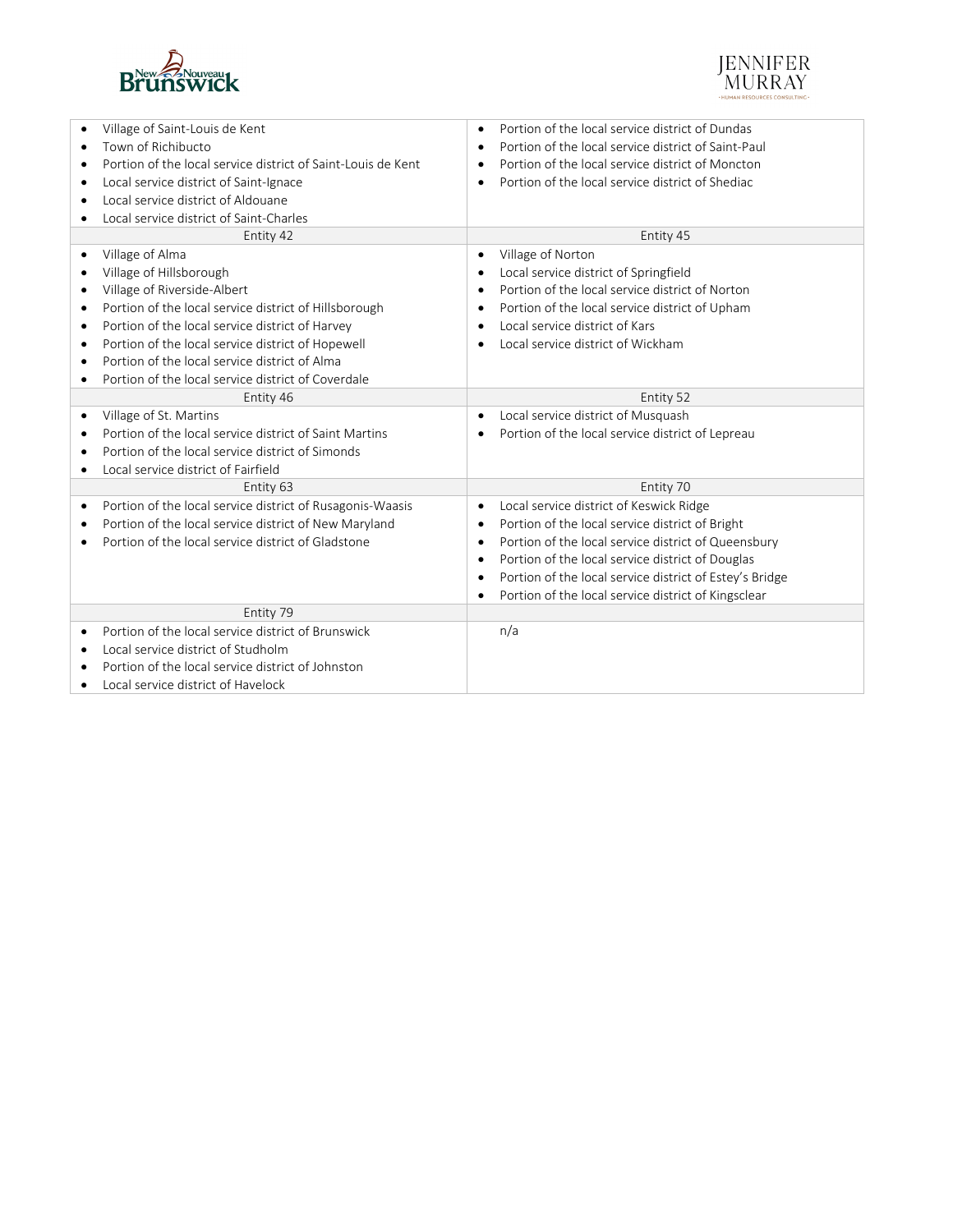



| Village of Saint-Louis de Kent                                         | Portion of the local service district of Dundas<br>$\bullet$         |
|------------------------------------------------------------------------|----------------------------------------------------------------------|
| Town of Richibucto                                                     | Portion of the local service district of Saint-Paul<br>$\bullet$     |
| Portion of the local service district of Saint-Louis de Kent           | Portion of the local service district of Moncton<br>$\bullet$        |
| Local service district of Saint-Ignace<br>$\bullet$                    | Portion of the local service district of Shediac<br>$\bullet$        |
| Local service district of Aldouane<br>٠                                |                                                                      |
| Local service district of Saint-Charles                                |                                                                      |
| Entity 42                                                              | Entity 45                                                            |
| Village of Alma                                                        | Village of Norton<br>$\bullet$                                       |
| Village of Hillsborough                                                | Local service district of Springfield<br>$\bullet$                   |
| Village of Riverside-Albert<br>$\bullet$                               | Portion of the local service district of Norton<br>$\bullet$         |
| Portion of the local service district of Hillsborough<br>٠             | Portion of the local service district of Upham<br>$\bullet$          |
| Portion of the local service district of Harvey<br>$\bullet$           | Local service district of Kars<br>$\bullet$                          |
| Portion of the local service district of Hopewell<br>$\bullet$         | Local service district of Wickham<br>$\bullet$                       |
| Portion of the local service district of Alma                          |                                                                      |
| Portion of the local service district of Coverdale                     |                                                                      |
| Entity 46                                                              | Entity 52                                                            |
| Village of St. Martins<br>٠                                            | Local service district of Musquash<br>$\bullet$                      |
| Portion of the local service district of Saint Martins                 | Portion of the local service district of Lepreau                     |
| Portion of the local service district of Simonds                       |                                                                      |
| Local service district of Fairfield<br>٠                               |                                                                      |
| Entity 63                                                              | Entity 70                                                            |
| Portion of the local service district of Rusagonis-Waasis<br>$\bullet$ | Local service district of Keswick Ridge<br>$\bullet$                 |
| Portion of the local service district of New Maryland<br>٠             | Portion of the local service district of Bright<br>$\bullet$         |
| Portion of the local service district of Gladstone                     | Portion of the local service district of Queensbury<br>$\bullet$     |
|                                                                        | Portion of the local service district of Douglas<br>$\bullet$        |
|                                                                        | Portion of the local service district of Estey's Bridge<br>$\bullet$ |
|                                                                        | Portion of the local service district of Kingsclear<br>$\bullet$     |
| Entity 79                                                              |                                                                      |
| Portion of the local service district of Brunswick                     | n/a                                                                  |
| Local service district of Studholm                                     |                                                                      |
| Portion of the local service district of Johnston                      |                                                                      |
| Local service district of Havelock                                     |                                                                      |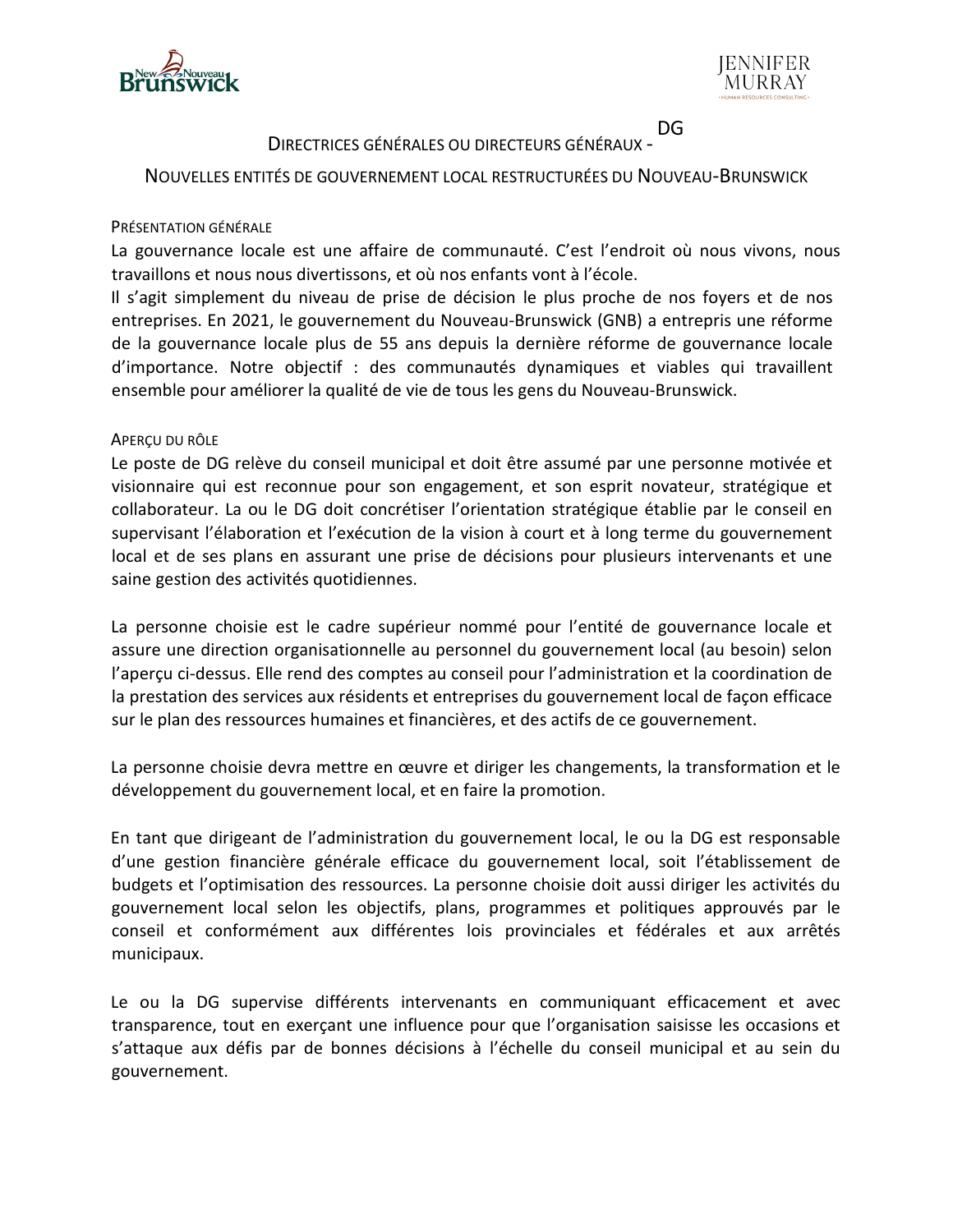



#### DIRECTRICES GÉNÉRALES OU DIRECTEURS GÉNÉRAUX - DG

## NOUVELLES ENTITÉS DE GOUVERNEMENT LOCAL RESTRUCTURÉES DU NOUVEAU-BRUNSWICK

## PRÉSENTATION GÉNÉRALE

La gouvernance locale est une affaire de communauté. C'est l'endroit où nous vivons, nous travaillons et nous nous divertissons, et où nos enfants vont à l'école.

Il s'agit simplement du niveau de prise de décision le plus proche de nos foyers et de nos entreprises. En 2021, le gouvernement du Nouveau-Brunswick (GNB) a entrepris une réforme de la gouvernance locale plus de 55 ans depuis la dernière réforme de gouvernance locale d'importance. Notre objectif : des communautés dynamiques et viables qui travaillent ensemble pour améliorer la qualité de vie de tous les gens du Nouveau-Brunswick.

## APERÇU DU RÔLE

Le poste de DG relève du conseil municipal et doit être assumé par une personne motivée et visionnaire qui est reconnue pour son engagement, et son esprit novateur, stratégique et collaborateur. La ou le DG doit concrétiser l'orientation stratégique établie par le conseil en supervisant l'élaboration et l'exécution de la vision à court et à long terme du gouvernement local et de ses plans en assurant une prise de décisions pour plusieurs intervenants et une saine gestion des activités quotidiennes.

La personne choisie est le cadre supérieur nommé pour l'entité de gouvernance locale et assure une direction organisationnelle au personnel du gouvernement local (au besoin) selon l'aperçu ci-dessus. Elle rend des comptes au conseil pour l'administration et la coordination de la prestation des services aux résidents et entreprises du gouvernement local de façon efficace sur le plan des ressources humaines et financières, et des actifs de ce gouvernement.

La personne choisie devra mettre en œuvre et diriger les changements, la transformation et le développement du gouvernement local, et en faire la promotion.

En tant que dirigeant de l'administration du gouvernement local, le ou la DG est responsable d'une gestion financière générale efficace du gouvernement local, soit l'établissement de budgets et l'optimisation des ressources. La personne choisie doit aussi diriger les activités du gouvernement local selon les objectifs, plans, programmes et politiques approuvés par le conseil et conformément aux différentes lois provinciales et fédérales et aux arrêtés municipaux.

Le ou la DG supervise différents intervenants en communiquant efficacement et avec transparence, tout en exerçant une influence pour que l'organisation saisisse les occasions et s'attaque aux défis par de bonnes décisions à l'échelle du conseil municipal et au sein du gouvernement.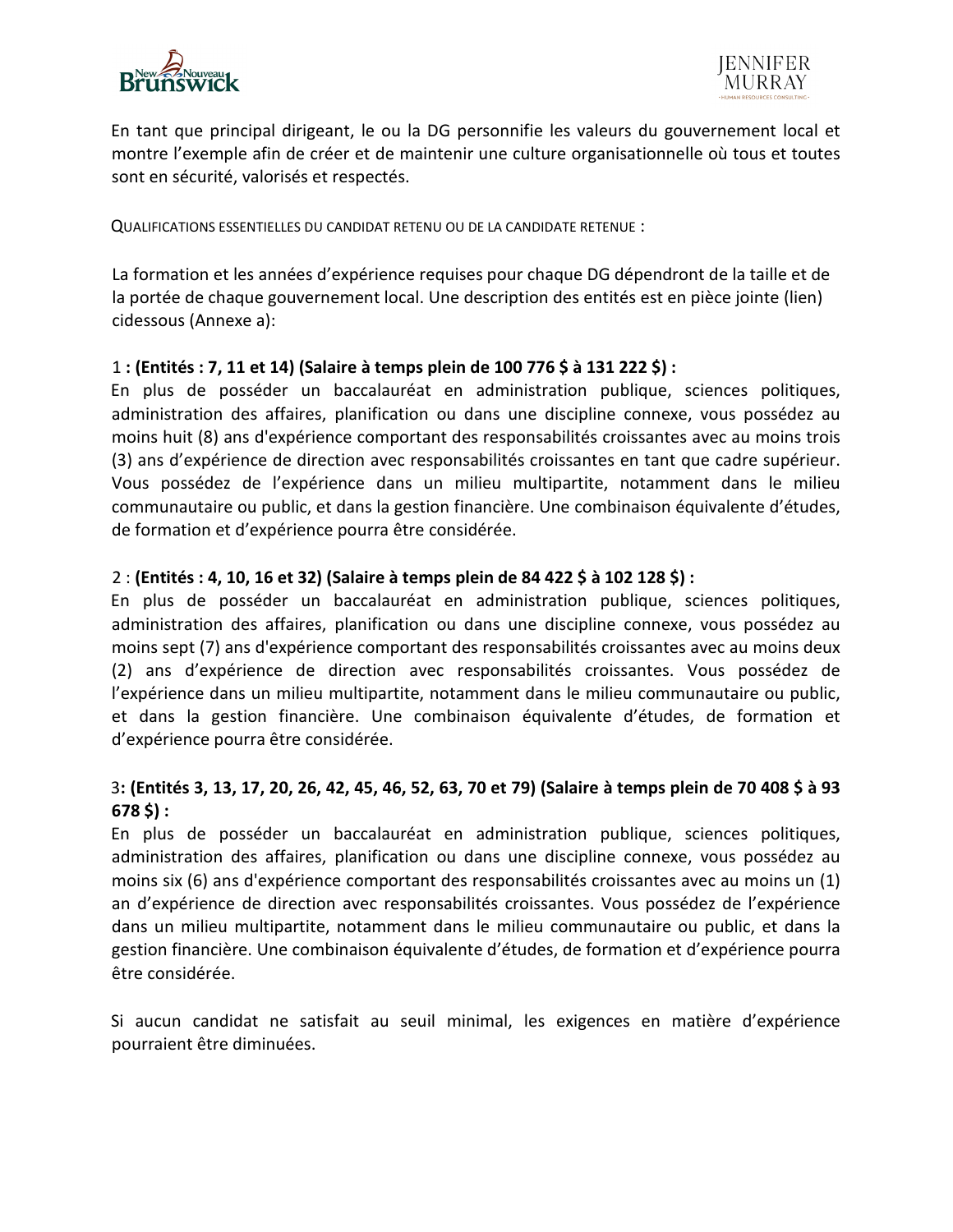



En tant que principal dirigeant, le ou la DG personnifie les valeurs du gouvernement local et montre l'exemple afin de créer et de maintenir une culture organisationnelle où tous et toutes sont en sécurité, valorisés et respectés.

QUALIFICATIONS ESSENTIELLES DU CANDIDAT RETENU OU DE LA CANDIDATE RETENUE :

La formation et les années d'expérience requises pour chaque DG dépendront de la taille et de la portée de chaque gouvernement local. Une description des entités est en pièce jointe (lien) cidessous (Annexe a):

## 1 **: (Entités : 7, 11 et 14) (Salaire à temps plein de 100 776 \$ à 131 222 \$) :**

En plus de posséder un baccalauréat en administration publique, sciences politiques, administration des affaires, planification ou dans une discipline connexe, vous possédez au moins huit (8) ans d'expérience comportant des responsabilités croissantes avec au moins trois (3) ans d'expérience de direction avec responsabilités croissantes en tant que cadre supérieur. Vous possédez de l'expérience dans un milieu multipartite, notamment dans le milieu communautaire ou public, et dans la gestion financière. Une combinaison équivalente d'études, de formation et d'expérience pourra être considérée.

## 2 : **(Entités : 4, 10, 16 et 32) (Salaire à temps plein de 84 422 \$ à 102 128 \$) :**

En plus de posséder un baccalauréat en administration publique, sciences politiques, administration des affaires, planification ou dans une discipline connexe, vous possédez au moins sept (7) ans d'expérience comportant des responsabilités croissantes avec au moins deux (2) ans d'expérience de direction avec responsabilités croissantes. Vous possédez de l'expérience dans un milieu multipartite, notamment dans le milieu communautaire ou public, et dans la gestion financière. Une combinaison équivalente d'études, de formation et d'expérience pourra être considérée.

# 3**: (Entités 3, 13, 17, 20, 26, 42, 45, 46, 52, 63, 70 et 79) (Salaire à temps plein de 70 408 \$ à 93 678 \$) :**

En plus de posséder un baccalauréat en administration publique, sciences politiques, administration des affaires, planification ou dans une discipline connexe, vous possédez au moins six (6) ans d'expérience comportant des responsabilités croissantes avec au moins un (1) an d'expérience de direction avec responsabilités croissantes. Vous possédez de l'expérience dans un milieu multipartite, notamment dans le milieu communautaire ou public, et dans la gestion financière. Une combinaison équivalente d'études, de formation et d'expérience pourra être considérée.

Si aucun candidat ne satisfait au seuil minimal, les exigences en matière d'expérience pourraient être diminuées.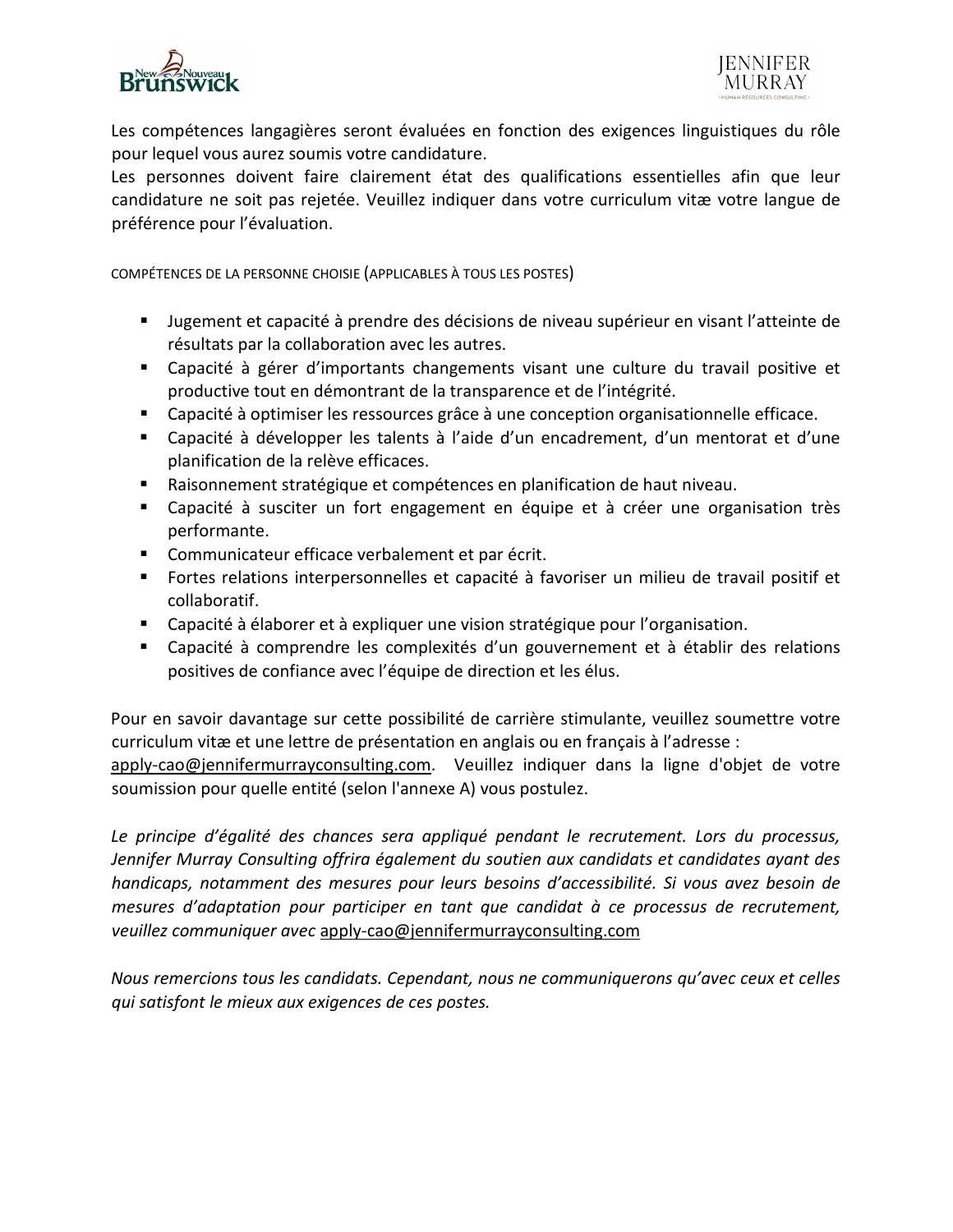

Les compétences langagières seront évaluées en fonction des exigences linguistiques du rôle pour lequel vous aurez soumis votre candidature.

Les personnes doivent faire clairement état des qualifications essentielles afin que leur candidature ne soit pas rejetée. Veuillez indiquer dans votre curriculum vitæ votre langue de préférence pour l'évaluation.

COMPÉTENCES DE LA PERSONNE CHOISIE (APPLICABLES À TOUS LES POSTES)

- Jugement et capacité à prendre des décisions de niveau supérieur en visant l'atteinte de résultats par la collaboration avec les autres.
- Capacité à gérer d'importants changements visant une culture du travail positive et productive tout en démontrant de la transparence et de l'intégrité.
- Capacité à optimiser les ressources grâce à une conception organisationnelle efficace.
- Capacité à développer les talents à l'aide d'un encadrement, d'un mentorat et d'une planification de la relève efficaces.
- Raisonnement stratégique et compétences en planification de haut niveau.
- Capacité à susciter un fort engagement en équipe et à créer une organisation très performante.
- **Communicateur efficace verbalement et par écrit.**
- Fortes relations interpersonnelles et capacité à favoriser un milieu de travail positif et collaboratif.
- Capacité à élaborer et à expliquer une vision stratégique pour l'organisation.
- Capacité à comprendre les complexités d'un gouvernement et à établir des relations positives de confiance avec l'équipe de direction et les élus.

Pour en savoir davantage sur cette possibilité de carrière stimulante, veuillez soumettre votre curriculum vitæ et une lettre de présentation en anglais ou en français à l'adresse :

apply-cao@jennifermurrayconsulting.com. Veuillez indiquer dans la ligne d'objet de votre soumission pour quelle entité (selon l'annexe A) vous postulez.

*Le principe d'égalité des chances sera appliqué pendant le recrutement. Lors du processus, Jennifer Murray Consulting offrira également du soutien aux candidats et candidates ayant des handicaps, notamment des mesures pour leurs besoins d'accessibilité. Si vous avez besoin de mesures d'adaptation pour participer en tant que candidat à ce processus de recrutement, veuillez communiquer avec* apply-cao@jennifermurrayconsulting.com

*Nous remercions tous les candidats. Cependant, nous ne communiquerons qu'avec ceux et celles qui satisfont le mieux aux exigences de ces postes.*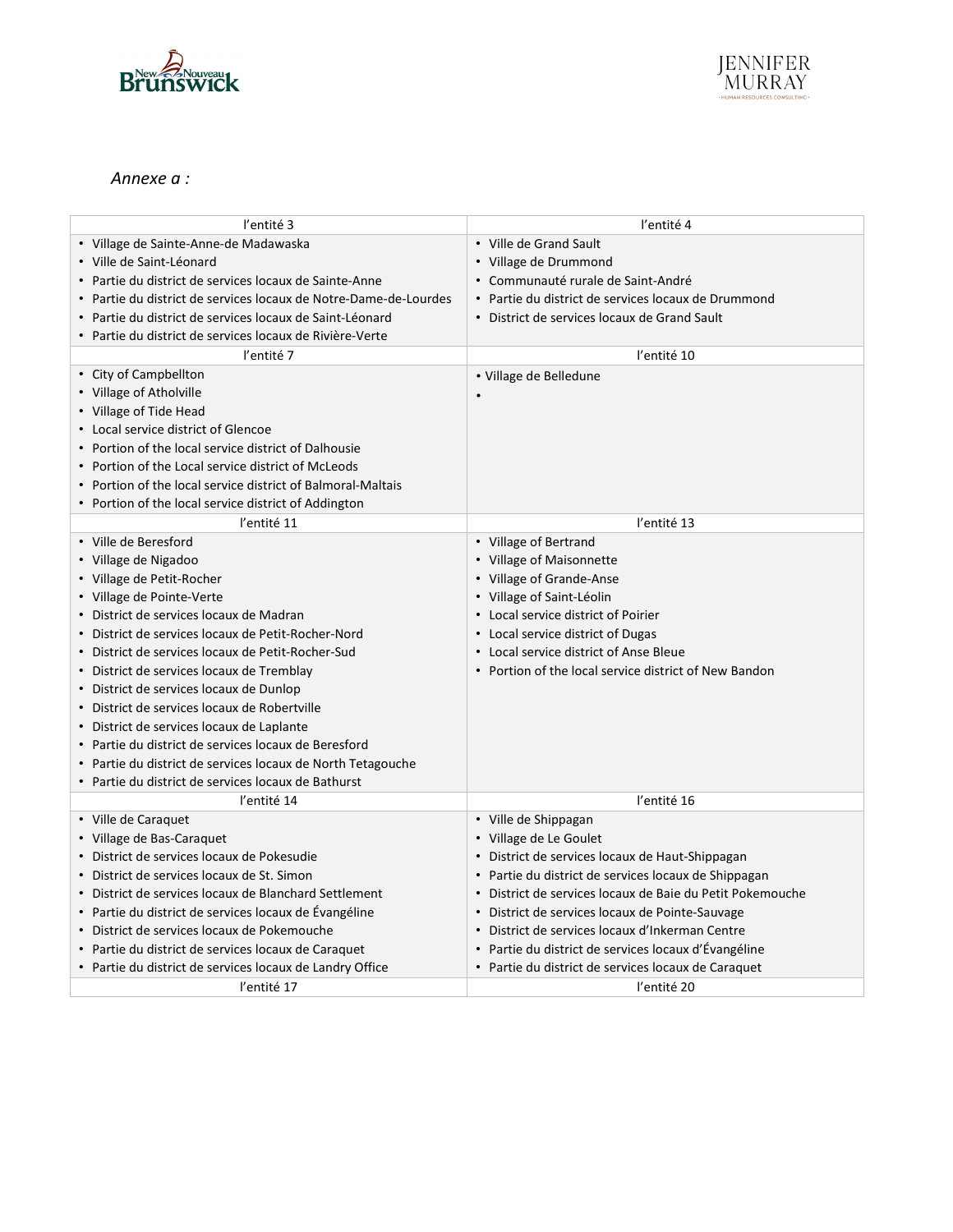



### *Annexe a :*

| l'entité 3                                                       | l'entité 4                                                |
|------------------------------------------------------------------|-----------------------------------------------------------|
| · Village de Sainte-Anne-de Madawaska                            | • Ville de Grand Sault                                    |
| · Ville de Saint-Léonard                                         | • Village de Drummond                                     |
| • Partie du district de services locaux de Sainte-Anne           | • Communauté rurale de Saint-André                        |
| • Partie du district de services locaux de Notre-Dame-de-Lourdes | • Partie du district de services locaux de Drummond       |
| · Partie du district de services locaux de Saint-Léonard         | • District de services locaux de Grand Sault              |
| · Partie du district de services locaux de Rivière-Verte         |                                                           |
| l'entité 7                                                       | l'entité 10                                               |
| • City of Campbellton                                            | • Village de Belledune                                    |
| • Village of Atholville                                          |                                                           |
| • Village of Tide Head                                           |                                                           |
| • Local service district of Glencoe                              |                                                           |
| • Portion of the local service district of Dalhousie             |                                                           |
| • Portion of the Local service district of McLeods               |                                                           |
| • Portion of the local service district of Balmoral-Maltais      |                                                           |
| • Portion of the local service district of Addington             |                                                           |
| l'entité 11                                                      | l'entité 13                                               |
| • Ville de Beresford                                             | • Village of Bertrand                                     |
| • Village de Nigadoo                                             | • Village of Maisonnette                                  |
| • Village de Petit-Rocher                                        | • Village of Grande-Anse                                  |
| • Village de Pointe-Verte                                        | • Village of Saint-Léolin                                 |
| • District de services locaux de Madran                          | • Local service district of Poirier                       |
| · District de services locaux de Petit-Rocher-Nord               | • Local service district of Dugas                         |
| · District de services locaux de Petit-Rocher-Sud                | • Local service district of Anse Bleue                    |
| • District de services locaux de Tremblay                        | • Portion of the local service district of New Bandon     |
| · District de services locaux de Dunlop                          |                                                           |
| · District de services locaux de Robertville                     |                                                           |
| · District de services locaux de Laplante                        |                                                           |
| • Partie du district de services locaux de Beresford             |                                                           |
| • Partie du district de services locaux de North Tetagouche      |                                                           |
| • Partie du district de services locaux de Bathurst              |                                                           |
| l'entité 14                                                      | l'entité 16                                               |
| • Ville de Caraquet                                              | • Ville de Shippagan                                      |
| • Village de Bas-Caraquet                                        | • Village de Le Goulet                                    |
| · District de services locaux de Pokesudie                       | · District de services locaux de Haut-Shippagan           |
| • District de services locaux de St. Simon                       | • Partie du district de services locaux de Shippagan      |
| • District de services locaux de Blanchard Settlement            | · District de services locaux de Baie du Petit Pokemouche |
| • Partie du district de services locaux de Évangéline            | • District de services locaux de Pointe-Sauvage           |
| · District de services locaux de Pokemouche                      | • District de services locaux d'Inkerman Centre           |
| • Partie du district de services locaux de Caraquet              | · Partie du district de services locaux d'Évangéline      |
| • Partie du district de services locaux de Landry Office         | • Partie du district de services locaux de Caraquet       |
| l'entité 17                                                      | l'entité 20                                               |